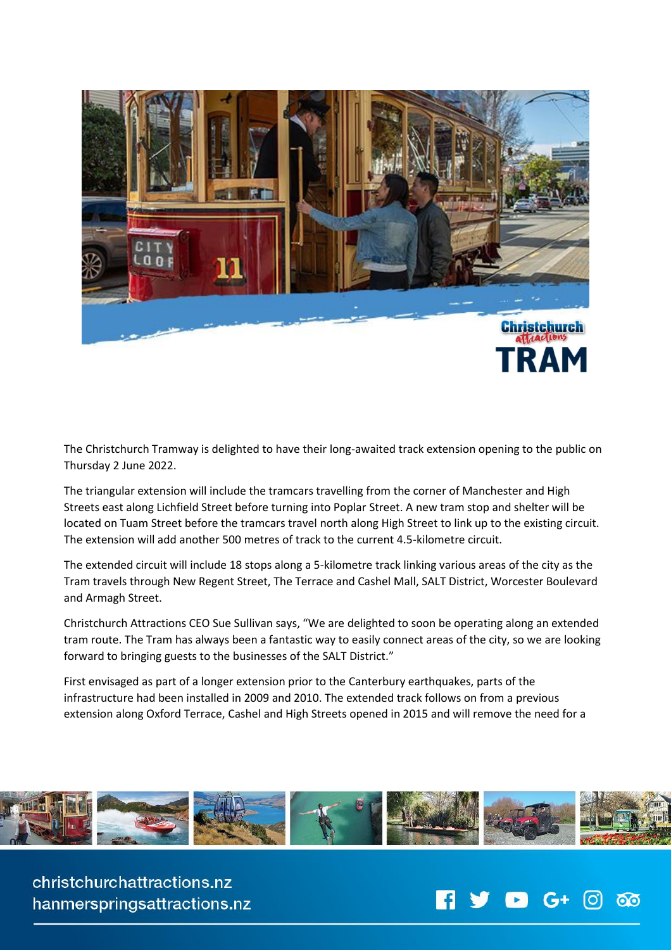

The Christchurch Tramway is delighted to have their long-awaited track extension opening to the public on Thursday 2 June 2022.

The triangular extension will include the tramcars travelling from the corner of Manchester and High Streets east along Lichfield Street before turning into Poplar Street. A new tram stop and shelter will be located on Tuam Street before the tramcars travel north along High Street to link up to the existing circuit. The extension will add another 500 metres of track to the current 4.5-kilometre circuit.

The extended circuit will include 18 stops along a 5-kilometre track linking various areas of the city as the Tram travels through New Regent Street, The Terrace and Cashel Mall, SALT District, Worcester Boulevard and Armagh Street.

Christchurch Attractions CEO Sue Sullivan says, "We are delighted to soon be operating along an extended tram route. The Tram has always been a fantastic way to easily connect areas of the city, so we are looking forward to bringing guests to the businesses of the SALT District."

First envisaged as part of a longer extension prior to the Canterbury earthquakes, parts of the infrastructure had been installed in 2009 and 2010. The extended track follows on from a previous extension along Oxford Terrace, Cashel and High Streets opened in 2015 and will remove the need for a



christchurchattractions.nz hanmerspringsattractions.nz